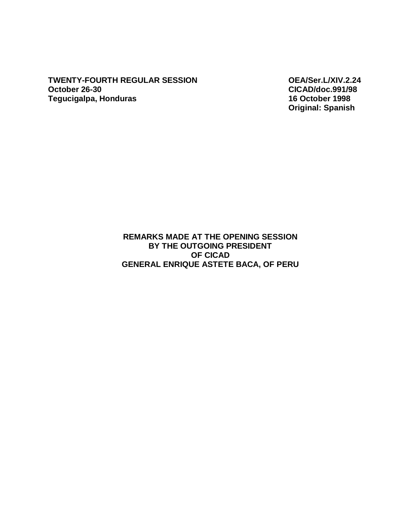**TWENTY-FOURTH REGULAR SESSION OEA/Ser.L/XIV.2.24 October 26-30 CICAD/doc.991/98 Tegucigalpa, Honduras** 

**Original: Spanish** 

**REMARKS MADE AT THE OPENING SESSION BY THE OUTGOING PRESIDENT OF CICAD GENERAL ENRIQUE ASTETE BACA, OF PERU**